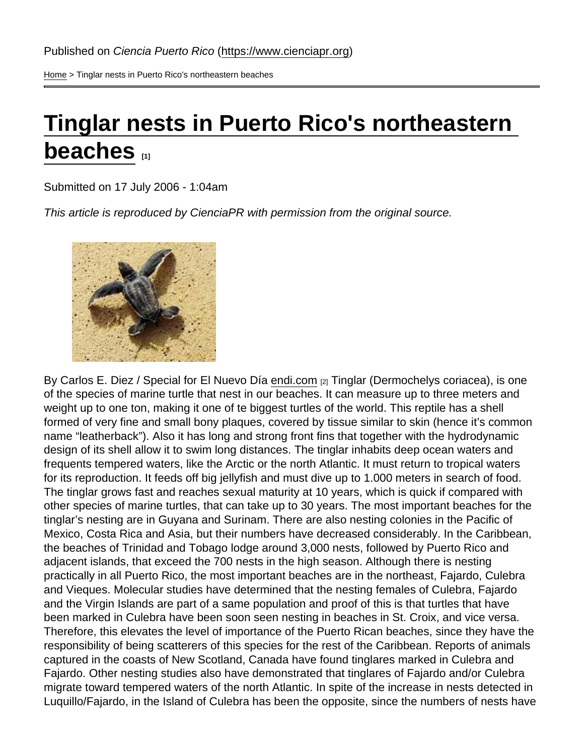[Home](https://www.cienciapr.org/en) > Tinglar nests in Puerto Rico's northeastern beaches

## [Tinglar nests in Puerto Rico's northeastern](https://www.cienciapr.org/en/external-news/tinglar-nests-puerto-ricos-northeastern-beaches)  [beaches](https://www.cienciapr.org/en/external-news/tinglar-nests-puerto-ricos-northeastern-beaches)  $\overline{1}$

Submitted on 17 July 2006 - 1:04am

This article is reproduced by CienciaPR with permission from the original source.

By Carlos E. Diez / Special for El Nuevo Día [endi.com](http://www.endi.com/XStatic/endi/template/nota.aspx?n=33704) [2] Tinglar (Dermochelys coriacea), is one of the species of marine turtle that nest in our beaches. It can measure up to three meters and weight up to one ton, making it one of te biggest turtles of the world. This reptile has a shell formed of very fine and small bony plaques, covered by tissue similar to skin (hence it's common name "leatherback"). Also it has long and strong front fins that together with the hydrodynamic design of its shell allow it to swim long distances. The tinglar inhabits deep ocean waters and frequents tempered waters, like the Arctic or the north Atlantic. It must return to tropical waters for its reproduction. It feeds off big jellyfish and must dive up to 1.000 meters in search of food. The tinglar grows fast and reaches sexual maturity at 10 years, which is quick if compared with other species of marine turtles, that can take up to 30 years. The most important beaches for the tinglar's nesting are in Guyana and Surinam. There are also nesting colonies in the Pacific of Mexico, Costa Rica and Asia, but their numbers have decreased considerably. In the Caribbean, the beaches of Trinidad and Tobago lodge around 3,000 nests, followed by Puerto Rico and adjacent islands, that exceed the 700 nests in the high season. Although there is nesting practically in all Puerto Rico, the most important beaches are in the northeast, Fajardo, Culebra and Vieques. Molecular studies have determined that the nesting females of Culebra, Fajardo and the Virgin Islands are part of a same population and proof of this is that turtles that have been marked in Culebra have been soon seen nesting in beaches in St. Croix, and vice versa. Therefore, this elevates the level of importance of the Puerto Rican beaches, since they have the responsibility of being scatterers of this species for the rest of the Caribbean. Reports of animals captured in the coasts of New Scotland, Canada have found tinglares marked in Culebra and Fajardo. Other nesting studies also have demonstrated that tinglares of Fajardo and/or Culebra migrate toward tempered waters of the north Atlantic. In spite of the increase in nests detected in Luquillo/Fajardo, in the Island of Culebra has been the opposite, since the numbers of nests have